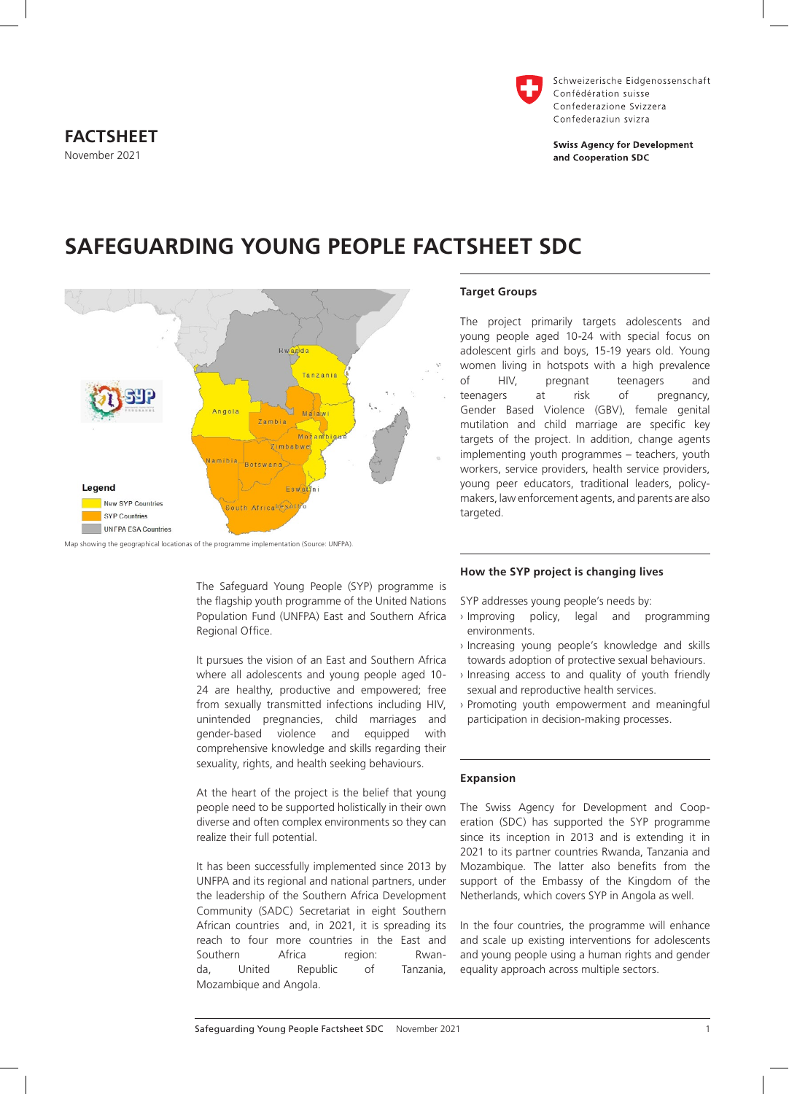

Schweizerische Eidgenossenschaft Confédération suisse Confederazione Svizzera Confederaziun svizra

**Swiss Agency for Development** and Cooperation SDC



**SAFEGUARDING YOUNG PEOPLE FACTSHEET SDC**

The Safeguard Young People (SYP) programme is the flagship youth programme of the United Nations Population Fund (UNFPA) East and Southern Africa Regional Office.

It pursues the vision of an East and Southern Africa where all adolescents and young people aged 10- 24 are healthy, productive and empowered; free from sexually transmitted infections including HIV, unintended pregnancies, child marriages and gender-based violence and equipped with comprehensive knowledge and skills regarding their sexuality, rights, and health seeking behaviours.

At the heart of the project is the belief that young people need to be supported holistically in their own diverse and often complex environments so they can realize their full potential.

It has been successfully implemented since 2013 by UNFPA and its regional and national partners, under the leadership of the Southern Africa Development Community (SADC) Secretariat in eight Southern African countries and, in 2021, it is spreading its reach to four more countries in the East and Southern Africa region: Rwanda, United Republic of Tanzania, Mozambique and Angola.

## **Target Groups**

The project primarily targets adolescents and young people aged 10-24 with special focus on adolescent girls and boys, 15-19 years old. Young women living in hotspots with a high prevalence<br>of HIV. bregnant teenagers and of HIV, pregnant teenagers and teenagers at risk of pregnancy, Gender Based Violence (GBV), female genital mutilation and child marriage are specific key targets of the project. In addition, change agents implementing youth programmes – teachers, youth workers, service providers, health service providers, young peer educators, traditional leaders, policymakers, law enforcement agents, and parents are also targeted.

### **How the SYP project is changing lives**

SYP addresses young people's needs by:

- › Improving policy, legal and programming environments.
- › Increasing young people's knowledge and skills towards adoption of protective sexual behaviours.
- › Inreasing access to and quality of youth friendly sexual and reproductive health services.
- › Promoting youth empowerment and meaningful participation in decision-making processes.

#### **Expansion**

The Swiss Agency for Development and Cooperation (SDC) has supported the SYP programme since its inception in 2013 and is extending it in 2021 to its partner countries Rwanda, Tanzania and Mozambique. The latter also benefits from the support of the Embassy of the Kingdom of the Netherlands, which covers SYP in Angola as well.

In the four countries, the programme will enhance and scale up existing interventions for adolescents and young people using a human rights and gender equality approach across multiple sectors.